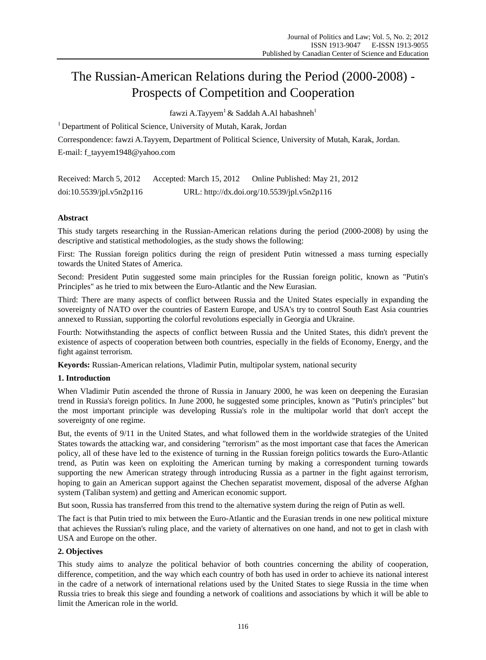# The Russian-American Relations during the Period (2000-2008) - Prospects of Competition and Cooperation

fawzi A.Tayyem<sup>1</sup> & Saddah A.Al habashneh<sup>1</sup>

<sup>1</sup> Department of Political Science, University of Mutah, Karak, Jordan Correspondence: fawzi A.Tayyem, Department of Political Science, University of Mutah, Karak, Jordan. E-mail: f\_tayyem1948@yahoo.com

Received: March 5, 2012 Accepted: March 15, 2012 Online Published: May 21, 2012 doi:10.5539/jpl.v5n2p116 URL: http://dx.doi.org/10.5539/jpl.v5n2p116

# **Abstract**

This study targets researching in the Russian-American relations during the period (2000-2008) by using the descriptive and statistical methodologies, as the study shows the following:

First: The Russian foreign politics during the reign of president Putin witnessed a mass turning especially towards the United States of America.

Second: President Putin suggested some main principles for the Russian foreign politic, known as "Putin's Principles" as he tried to mix between the Euro-Atlantic and the New Eurasian.

Third: There are many aspects of conflict between Russia and the United States especially in expanding the sovereignty of NATO over the countries of Eastern Europe, and USA's try to control South East Asia countries annexed to Russian, supporting the colorful revolutions especially in Georgia and Ukraine.

Fourth: Notwithstanding the aspects of conflict between Russia and the United States, this didn't prevent the existence of aspects of cooperation between both countries, especially in the fields of Economy, Energy, and the fight against terrorism.

**Keyords:** Russian-American relations, Vladimir Putin, multipolar system, national security

# **1. Introduction**

When Vladimir Putin ascended the throne of Russia in January 2000, he was keen on deepening the Eurasian trend in Russia's foreign politics. In June 2000, he suggested some principles, known as "Putin's principles" but the most important principle was developing Russia's role in the multipolar world that don't accept the sovereignty of one regime.

But, the events of 9/11 in the United States, and what followed them in the worldwide strategies of the United States towards the attacking war, and considering "terrorism" as the most important case that faces the American policy, all of these have led to the existence of turning in the Russian foreign politics towards the Euro-Atlantic trend, as Putin was keen on exploiting the American turning by making a correspondent turning towards supporting the new American strategy through introducing Russia as a partner in the fight against terrorism, hoping to gain an American support against the Chechen separatist movement, disposal of the adverse Afghan system (Taliban system) and getting and American economic support.

But soon, Russia has transferred from this trend to the alternative system during the reign of Putin as well.

The fact is that Putin tried to mix between the Euro-Atlantic and the Eurasian trends in one new political mixture that achieves the Russian's ruling place, and the variety of alternatives on one hand, and not to get in clash with USA and Europe on the other.

# **2. Objectives**

This study aims to analyze the political behavior of both countries concerning the ability of cooperation, difference, competition, and the way which each country of both has used in order to achieve its national interest in the cadre of a network of international relations used by the United States to siege Russia in the time when Russia tries to break this siege and founding a network of coalitions and associations by which it will be able to limit the American role in the world.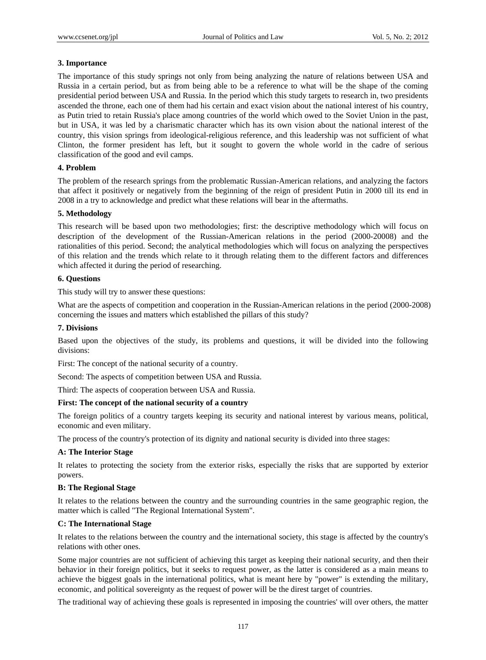# **3. Importance**

The importance of this study springs not only from being analyzing the nature of relations between USA and Russia in a certain period, but as from being able to be a reference to what will be the shape of the coming presidential period between USA and Russia. In the period which this study targets to research in, two presidents ascended the throne, each one of them had his certain and exact vision about the national interest of his country, as Putin tried to retain Russia's place among countries of the world which owed to the Soviet Union in the past, but in USA, it was led by a charismatic character which has its own vision about the national interest of the country, this vision springs from ideological-religious reference, and this leadership was not sufficient of what Clinton, the former president has left, but it sought to govern the whole world in the cadre of serious classification of the good and evil camps.

# **4. Problem**

The problem of the research springs from the problematic Russian-American relations, and analyzing the factors that affect it positively or negatively from the beginning of the reign of president Putin in 2000 till its end in 2008 in a try to acknowledge and predict what these relations will bear in the aftermaths.

## **5. Methodology**

This research will be based upon two methodologies; first: the descriptive methodology which will focus on description of the development of the Russian-American relations in the period (2000-20008) and the rationalities of this period. Second; the analytical methodologies which will focus on analyzing the perspectives of this relation and the trends which relate to it through relating them to the different factors and differences which affected it during the period of researching.

# **6. Questions**

This study will try to answer these questions:

What are the aspects of competition and cooperation in the Russian-American relations in the period (2000-2008) concerning the issues and matters which established the pillars of this study?

## **7. Divisions**

Based upon the objectives of the study, its problems and questions, it will be divided into the following divisions:

First: The concept of the national security of a country.

Second: The aspects of competition between USA and Russia.

Third: The aspects of cooperation between USA and Russia.

## **First: The concept of the national security of a country**

The foreign politics of a country targets keeping its security and national interest by various means, political, economic and even military.

The process of the country's protection of its dignity and national security is divided into three stages:

## **A: The Interior Stage**

It relates to protecting the society from the exterior risks, especially the risks that are supported by exterior powers.

## **B: The Regional Stage**

It relates to the relations between the country and the surrounding countries in the same geographic region, the matter which is called "The Regional International System".

## **C: The International Stage**

It relates to the relations between the country and the international society, this stage is affected by the country's relations with other ones.

Some major countries are not sufficient of achieving this target as keeping their national security, and then their behavior in their foreign politics, but it seeks to request power, as the latter is considered as a main means to achieve the biggest goals in the international politics, what is meant here by "power" is extending the military, economic, and political sovereignty as the request of power will be the direst target of countries.

The traditional way of achieving these goals is represented in imposing the countries' will over others, the matter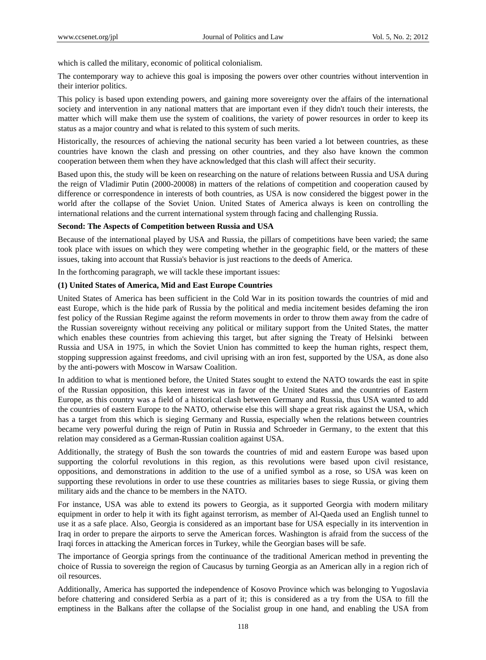which is called the military, economic of political colonialism.

The contemporary way to achieve this goal is imposing the powers over other countries without intervention in their interior politics.

This policy is based upon extending powers, and gaining more sovereignty over the affairs of the international society and intervention in any national matters that are important even if they didn't touch their interests, the matter which will make them use the system of coalitions, the variety of power resources in order to keep its status as a major country and what is related to this system of such merits.

Historically, the resources of achieving the national security has been varied a lot between countries, as these countries have known the clash and pressing on other countries, and they also have known the common cooperation between them when they have acknowledged that this clash will affect their security.

Based upon this, the study will be keen on researching on the nature of relations between Russia and USA during the reign of Vladimir Putin (2000-20008) in matters of the relations of competition and cooperation caused by difference or correspondence in interests of both countries, as USA is now considered the biggest power in the world after the collapse of the Soviet Union. United States of America always is keen on controlling the international relations and the current international system through facing and challenging Russia.

## **Second: The Aspects of Competition between Russia and USA**

Because of the international played by USA and Russia, the pillars of competitions have been varied; the same took place with issues on which they were competing whether in the geographic field, or the matters of these issues, taking into account that Russia's behavior is just reactions to the deeds of America.

In the forthcoming paragraph, we will tackle these important issues:

## **(1) United States of America, Mid and East Europe Countries**

United States of America has been sufficient in the Cold War in its position towards the countries of mid and east Europe, which is the hide park of Russia by the political and media incitement besides defaming the iron fest policy of the Russian Regime against the reform movements in order to throw them away from the cadre of the Russian sovereignty without receiving any political or military support from the United States, the matter which enables these countries from achieving this target, but after signing the Treaty of Helsinki between Russia and USA in 1975, in which the Soviet Union has committed to keep the human rights, respect them, stopping suppression against freedoms, and civil uprising with an iron fest, supported by the USA, as done also by the anti-powers with Moscow in Warsaw Coalition.

In addition to what is mentioned before, the United States sought to extend the NATO towards the east in spite of the Russian opposition, this keen interest was in favor of the United States and the countries of Eastern Europe, as this country was a field of a historical clash between Germany and Russia, thus USA wanted to add the countries of eastern Europe to the NATO, otherwise else this will shape a great risk against the USA, which has a target from this which is sieging Germany and Russia, especially when the relations between countries became very powerful during the reign of Putin in Russia and Schroeder in Germany, to the extent that this relation may considered as a German-Russian coalition against USA.

Additionally, the strategy of Bush the son towards the countries of mid and eastern Europe was based upon supporting the colorful revolutions in this region, as this revolutions were based upon civil resistance, oppositions, and demonstrations in addition to the use of a unified symbol as a rose, so USA was keen on supporting these revolutions in order to use these countries as militaries bases to siege Russia, or giving them military aids and the chance to be members in the NATO.

For instance, USA was able to extend its powers to Georgia, as it supported Georgia with modern military equipment in order to help it with its fight against terrorism, as member of Al-Qaeda used an English tunnel to use it as a safe place. Also, Georgia is considered as an important base for USA especially in its intervention in Iraq in order to prepare the airports to serve the American forces. Washington is afraid from the success of the Iraqi forces in attacking the American forces in Turkey, while the Georgian bases will be safe.

The importance of Georgia springs from the continuance of the traditional American method in preventing the choice of Russia to sovereign the region of Caucasus by turning Georgia as an American ally in a region rich of oil resources.

Additionally, America has supported the independence of Kosovo Province which was belonging to Yugoslavia before chattering and considered Serbia as a part of it; this is considered as a try from the USA to fill the emptiness in the Balkans after the collapse of the Socialist group in one hand, and enabling the USA from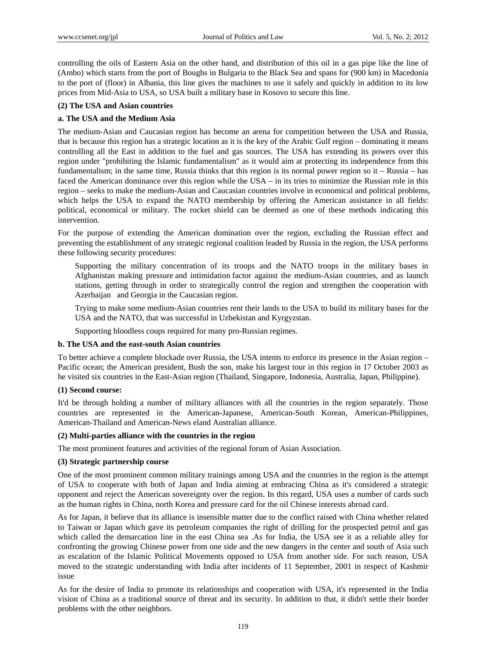controlling the oils of Eastern Asia on the other hand, and distribution of this oil in a gas pipe like the line of (Ambo) which starts from the port of Boughs in Bulgaria to the Black Sea and spans for (900 km) in Macedonia to the port of (floor) in Albania, this line gives the machines to use it safely and quickly in addition to its low prices from Mid-Asia to USA, so USA built a military base in Kosovo to secure this line.

## **(2) The USA and Asian countries**

## **a. The USA and the Medium Asia**

The medium-Asian and Caucasian region has become an arena for competition between the USA and Russia, that is because this region has a strategic location as it is the key of the Arabic Gulf region – dominating it means controlling all the East in addition to the fuel and gas sources. The USA has extending its powers over this region under "prohibiting the Islamic fundamentalism" as it would aim at protecting its independence from this fundamentalism; in the same time, Russia thinks that this region is its normal power region so it – Russia – has faced the American dominance over this region while the USA – in its tries to minimize the Russian role in this region – seeks to make the medium-Asian and Caucasian countries involve in economical and political problems, which helps the USA to expand the NATO membership by offering the American assistance in all fields: political, economical or military. The rocket shield can be deemed as one of these methods indicating this intervention.

For the purpose of extending the American domination over the region, excluding the Russian effect and preventing the establishment of any strategic regional coalition leaded by Russia in the region, the USA performs these following security procedures:

Supporting the military concentration of its troops and the NATO troops in the military bases in Afghanistan making pressure and intimidation factor against the medium-Asian countries, and as launch stations, getting through in order to strategically control the region and strengthen the cooperation with Azerbaijan and Georgia in the Caucasian region.

Trying to make some medium-Asian countries rent their lands to the USA to build its military bases for the USA and the NATO, that was successful in Uzbekistan and Kyrgyzstan.

Supporting bloodless coups required for many pro-Russian regimes.

#### **b. The USA and the east-south Asian countries**

To better achieve a complete blockade over Russia, the USA intents to enforce its presence in the Asian region – Pacific ocean; the American president, Bush the son, make his largest tour in this region in 17 October 2003 as he visited six countries in the East-Asian region (Thailand, Singapore, Indonesia, Australia, Japan, Philippine).

## **(1) Second course:**

It'd be through holding a number of military alliances with all the countries in the region separately. Those countries are represented in the American-Japanese, American-South Korean, American-Philippines, American-Thailand and American-News eland Australian alliance.

#### **(2) Multi-parties alliance with the countries in the region**

The most prominent features and activities of the regional forum of Asian Association.

#### **(3) Strategic partnership course**

One of the most prominent common military trainings among USA and the countries in the region is the attempt of USA to cooperate with both of Japan and India aiming at embracing China as it's considered a strategic opponent and reject the American sovereignty over the region. In this regard, USA uses a number of cards such as the human rights in China, north Korea and pressure card for the oil Chinese interests abroad card.

As for Japan, it believe that its alliance is insensible matter due to the conflict raised with China whether related to Taiwan or Japan which gave its petroleum companies the right of drilling for the prospected petrol and gas which called the demarcation line in the east China sea .As for India, the USA see it as a reliable alley for confronting the growing Chinese power from one side and the new dangers in the center and south of Asia such as escalation of the Islamic Political Movements opposed to USA from another side. For such reason, USA moved to the strategic understanding with India after incidents of 11 September, 2001 in respect of Kashmir issue

As for the desire of India to promote its relationships and cooperation with USA, it's represented in the India vision of China as a traditional source of threat and its security. In addition to that, it didn't settle their border problems with the other neighbors.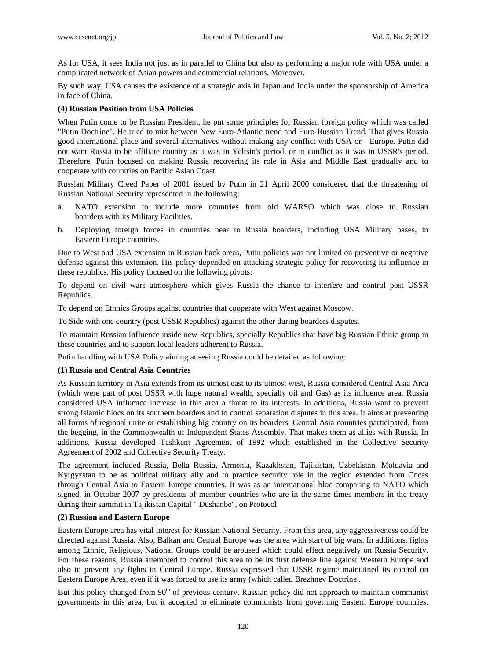As for USA, it sees India not just as in parallel to China but also as performing a major role with USA under a complicated network of Asian powers and commercial relations. Moreover.

By such way, USA causes the existence of a strategic axis in Japan and India under the sponsorship of America in face of China.

## **(4) Russian Position from USA Policies**

When Putin come to be Russian President, he put some principles for Russian foreign policy which was called "Putin Doctrine". He tried to mix between New Euro-Atlantic trend and Euro-Russian Trend. That gives Russia good international place and several alternatives without making any conflict with USA or Europe. Putin did not want Russia to be affiliate country as it was in Yeltsin's period, or in conflict as it was in USSR's period. Therefore, Putin focused on making Russia recovering its role in Asia and Middle East gradually and to cooperate with countries on Pacific Asian Coast.

Russian Military Creed Paper of 2001 issued by Putin in 21 April 2000 considered that the threatening of Russian National Security represented in the following:

- a. NATO extension to include more countries from old WARSO which was close to Russian boarders with its Military Facilities.
- b. Deploying foreign forces in countries near to Russia boarders, including USA Military bases, in Eastern Europe countries.

Due to West and USA extension in Russian back areas, Putin policies was not limited on preventive or negative defense against this extension. His policy depended on attacking strategic policy for recovering its influence in these republics. His policy focused on the following pivots:

To depend on civil wars atmosphere which gives Russia the chance to interfere and control post USSR Republics.

To depend on Ethnics Groups against countries that cooperate with West against Moscow.

To Side with one country (post USSR Republics) against the other during boarders disputes.

To maintain Russian Influence inside new Republics, specially Republics that have big Russian Ethnic group in these countries and to support local leaders adherent to Russia.

Putin handling with USA Policy aiming at seeing Russia could be detailed as following:

## **(1) Russia and Central Asia Countries**

As Russian territory in Asia extends from its utmost east to its utmost west, Russia considered Central Asia Area (which were part of post USSR with huge natural wealth, specially oil and Gas) as its influence area. Russia considered USA influence increase in this area a threat to its interests. In additions, Russia want to prevent strong Islamic blocs on its southern boarders and to control separation disputes in this area. It aims at preventing all forms of regional unite or establishing big country on its boarders. Central Asia countries participated, from the begging, in the Commonwealth of Independent States Assembly. That makes them as allies with Russia. In additions, Russia developed Tashkent Agreement of 1992 which established in the Collective Security Agreement of 2002 and Collective Security Treaty.

The agreement included Russia, Bella Russia, Armenia, Kazakhstan, Tajikistan, Uzbekistan, Moldavia and Kyrgyzstan to be as political military ally and to practice security role in the region extended from Cocas through Central Asia to Eastern Europe countries. It was as an international bloc comparing to NATO which signed, in October 2007 by presidents of member countries who are in the same times members in the treaty during their summit in Tajikistan Capital " Dushanbe", on Protocol

## **(2) Russian and Eastern Europe**

Eastern Europe area has vital interest for Russian National Security. From this area, any aggressiveness could be directed against Russia. Also, Balkan and Central Europe was the area with start of big wars. In additions, fights among Ethnic, Religious, National Groups could be aroused which could effect negatively on Russia Security. For these reasons, Russia attempted to control this area to be its first defense line against Western Europe and also to prevent any fights in Central Europe. Russia expressed that USSR regime maintained its control on Eastern Europe Area, even if it was forced to use its army (which called Brezhnev Doctrine .

But this policy changed from  $90<sup>th</sup>$  of previous century. Russian policy did not approach to maintain communist governments in this area, but it accepted to eliminate communists from governing Eastern Europe countries.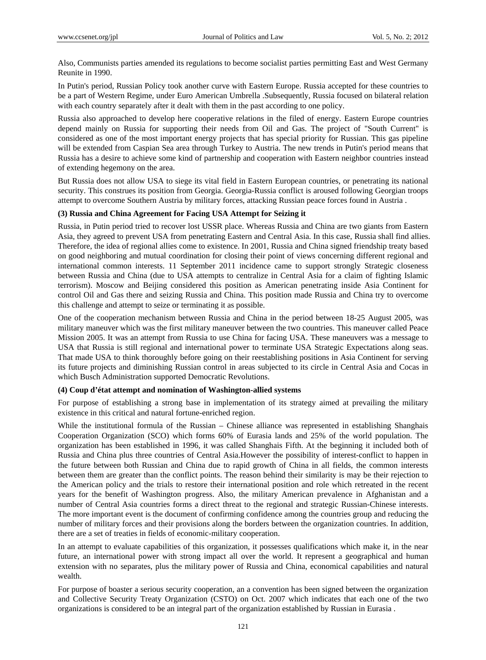Also, Communists parties amended its regulations to become socialist parties permitting East and West Germany Reunite in 1990.

In Putin's period, Russian Policy took another curve with Eastern Europe. Russia accepted for these countries to be a part of Western Regime, under Euro American Umbrella .Subsequently, Russia focused on bilateral relation with each country separately after it dealt with them in the past according to one policy.

Russia also approached to develop here cooperative relations in the filed of energy. Eastern Europe countries depend mainly on Russia for supporting their needs from Oil and Gas. The project of "South Current" is considered as one of the most important energy projects that has special priority for Russian. This gas pipeline will be extended from Caspian Sea area through Turkey to Austria. The new trends in Putin's period means that Russia has a desire to achieve some kind of partnership and cooperation with Eastern neighbor countries instead of extending hegemony on the area.

But Russia does not allow USA to siege its vital field in Eastern European countries, or penetrating its national security. This construes its position from Georgia. Georgia-Russia conflict is aroused following Georgian troops attempt to overcome Southern Austria by military forces, attacking Russian peace forces found in Austria .

## **(3) Russia and China Agreement for Facing USA Attempt for Seizing it**

Russia, in Putin period tried to recover lost USSR place. Whereas Russia and China are two giants from Eastern Asia, they agreed to prevent USA from penetrating Eastern and Central Asia. In this case, Russia shall find allies. Therefore, the idea of regional allies come to existence. In 2001, Russia and China signed friendship treaty based on good neighboring and mutual coordination for closing their point of views concerning different regional and international common interests. 11 September 2011 incidence came to support strongly Strategic closeness between Russia and China (due to USA attempts to centralize in Central Asia for a claim of fighting Islamic terrorism). Moscow and Beijing considered this position as American penetrating inside Asia Continent for control Oil and Gas there and seizing Russia and China. This position made Russia and China try to overcome this challenge and attempt to seize or terminating it as possible.

One of the cooperation mechanism between Russia and China in the period between 18-25 August 2005, was military maneuver which was the first military maneuver between the two countries. This maneuver called Peace Mission 2005. It was an attempt from Russia to use China for facing USA. These maneuvers was a message to USA that Russia is still regional and international power to terminate USA Strategic Expectations along seas. That made USA to think thoroughly before going on their reestablishing positions in Asia Continent for serving its future projects and diminishing Russian control in areas subjected to its circle in Central Asia and Cocas in which Busch Administration supported Democratic Revolutions.

## **(4) Coup d'état attempt and nomination of Washington-allied systems**

For purpose of establishing a strong base in implementation of its strategy aimed at prevailing the military existence in this critical and natural fortune-enriched region.

While the institutional formula of the Russian – Chinese alliance was represented in establishing Shanghais Cooperation Organization (SCO) which forms 60% of Eurasia lands and 25% of the world population. The organization has been established in 1996, it was called Shanghais Fifth. At the beginning it included both of Russia and China plus three countries of Central Asia.However the possibility of interest-conflict to happen in the future between both Russian and China due to rapid growth of China in all fields, the common interests between them are greater than the conflict points. The reason behind their similarity is may be their rejection to the American policy and the trials to restore their international position and role which retreated in the recent years for the benefit of Washington progress. Also, the military American prevalence in Afghanistan and a number of Central Asia countries forms a direct threat to the regional and strategic Russian-Chinese interests. The more important event is the document of confirming confidence among the countries group and reducing the number of military forces and their provisions along the borders between the organization countries. In addition, there are a set of treaties in fields of economic-military cooperation.

In an attempt to evaluate capabilities of this organization, it possesses qualifications which make it, in the near future, an international power with strong impact all over the world. It represent a geographical and human extension with no separates, plus the military power of Russia and China, economical capabilities and natural wealth.

For purpose of boaster a serious security cooperation, an a convention has been signed between the organization and Collective Security Treaty Organization (CSTO) on Oct. 2007 which indicates that each one of the two organizations is considered to be an integral part of the organization established by Russian in Eurasia .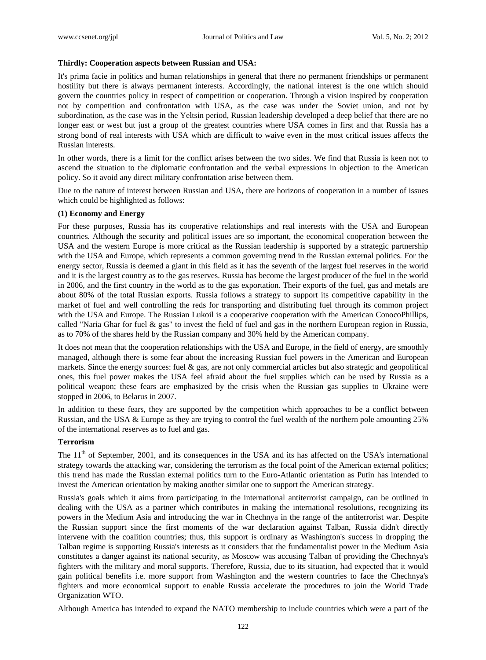## **Thirdly: Cooperation aspects between Russian and USA:**

It's prima facie in politics and human relationships in general that there no permanent friendships or permanent hostility but there is always permanent interests. Accordingly, the national interest is the one which should govern the countries policy in respect of competition or cooperation. Through a vision inspired by cooperation not by competition and confrontation with USA, as the case was under the Soviet union, and not by subordination, as the case was in the Yeltsin period, Russian leadership developed a deep belief that there are no longer east or west but just a group of the greatest countries where USA comes in first and that Russia has a strong bond of real interests with USA which are difficult to waive even in the most critical issues affects the Russian interests.

In other words, there is a limit for the conflict arises between the two sides. We find that Russia is keen not to ascend the situation to the diplomatic confrontation and the verbal expressions in objection to the American policy. So it avoid any direct military confrontation arise between them.

Due to the nature of interest between Russian and USA, there are horizons of cooperation in a number of issues which could be highlighted as follows:

## **(1) Economy and Energy**

For these purposes, Russia has its cooperative relationships and real interests with the USA and European countries. Although the security and political issues are so important, the economical cooperation between the USA and the western Europe is more critical as the Russian leadership is supported by a strategic partnership with the USA and Europe, which represents a common governing trend in the Russian external politics. For the energy sector, Russia is deemed a giant in this field as it has the seventh of the largest fuel reserves in the world and it is the largest country as to the gas reserves. Russia has become the largest producer of the fuel in the world in 2006, and the first country in the world as to the gas exportation. Their exports of the fuel, gas and metals are about 80% of the total Russian exports. Russia follows a strategy to support its competitive capability in the market of fuel and well controlling the reds for transporting and distributing fuel through its common project with the USA and Europe. The Russian Lukoil is a cooperative cooperation with the American ConocoPhillips, called "Naria Ghar for fuel  $\&$  gas" to invest the field of fuel and gas in the northern European region in Russia, as to 70% of the shares held by the Russian company and 30% held by the American company.

It does not mean that the cooperation relationships with the USA and Europe, in the field of energy, are smoothly managed, although there is some fear about the increasing Russian fuel powers in the American and European markets. Since the energy sources: fuel & gas, are not only commercial articles but also strategic and geopolitical ones, this fuel power makes the USA feel afraid about the fuel supplies which can be used by Russia as a political weapon; these fears are emphasized by the crisis when the Russian gas supplies to Ukraine were stopped in 2006, to Belarus in 2007.

In addition to these fears, they are supported by the competition which approaches to be a conflict between Russian, and the USA & Europe as they are trying to control the fuel wealth of the northern pole amounting 25% of the international reserves as to fuel and gas.

## **Terrorism**

The 11<sup>th</sup> of September, 2001, and its consequences in the USA and its has affected on the USA's international strategy towards the attacking war, considering the terrorism as the focal point of the American external politics; this trend has made the Russian external politics turn to the Euro-Atlantic orientation as Putin has intended to invest the American orientation by making another similar one to support the American strategy.

Russia's goals which it aims from participating in the international antiterrorist campaign, can be outlined in dealing with the USA as a partner which contributes in making the international resolutions, recognizing its powers in the Medium Asia and introducing the war in Chechnya in the range of the antiterrorist war. Despite the Russian support since the first moments of the war declaration against Talban, Russia didn't directly intervene with the coalition countries; thus, this support is ordinary as Washington's success in dropping the Talban regime is supporting Russia's interests as it considers that the fundamentalist power in the Medium Asia constitutes a danger against its national security, as Moscow was accusing Talban of providing the Chechnya's fighters with the military and moral supports. Therefore, Russia, due to its situation, had expected that it would gain political benefits i.e. more support from Washington and the western countries to face the Chechnya's fighters and more economical support to enable Russia accelerate the procedures to join the World Trade Organization WTO.

Although America has intended to expand the NATO membership to include countries which were a part of the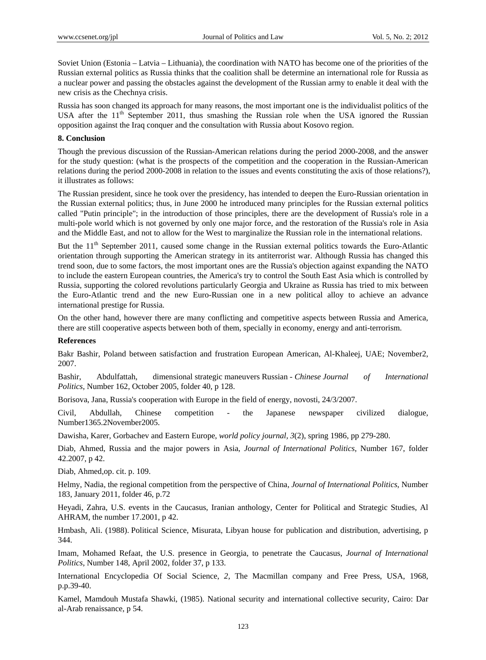Soviet Union (Estonia – Latvia – Lithuania), the coordination with NATO has become one of the priorities of the Russian external politics as Russia thinks that the coalition shall be determine an international role for Russia as a nuclear power and passing the obstacles against the development of the Russian army to enable it deal with the new crisis as the Chechnya crisis.

Russia has soon changed its approach for many reasons, the most important one is the individualist politics of the USA after the  $11<sup>th</sup>$  September 2011, thus smashing the Russian role when the USA ignored the Russian opposition against the Iraq conquer and the consultation with Russia about Kosovo region.

## **8. Conclusion**

Though the previous discussion of the Russian-American relations during the period 2000-2008, and the answer for the study question: (what is the prospects of the competition and the cooperation in the Russian-American relations during the period 2000-2008 in relation to the issues and events constituting the axis of those relations?), it illustrates as follows:

The Russian president, since he took over the presidency, has intended to deepen the Euro-Russian orientation in the Russian external politics; thus, in June 2000 he introduced many principles for the Russian external politics called "Putin principle"; in the introduction of those principles, there are the development of Russia's role in a multi-pole world which is not governed by only one major force, and the restoration of the Russia's role in Asia and the Middle East, and not to allow for the West to marginalize the Russian role in the international relations.

But the 11<sup>th</sup> September 2011, caused some change in the Russian external politics towards the Euro-Atlantic orientation through supporting the American strategy in its antiterrorist war. Although Russia has changed this trend soon, due to some factors, the most important ones are the Russia's objection against expanding the NATO to include the eastern European countries, the America's try to control the South East Asia which is controlled by Russia, supporting the colored revolutions particularly Georgia and Ukraine as Russia has tried to mix between the Euro-Atlantic trend and the new Euro-Russian one in a new political alloy to achieve an advance international prestige for Russia.

On the other hand, however there are many conflicting and competitive aspects between Russia and America, there are still cooperative aspects between both of them, specially in economy, energy and anti-terrorism.

#### **References**

Bakr Bashir, Poland between satisfaction and frustration European American, Al-Khaleej, UAE; November2, 2007.

Bashir, Abdulfattah, dimensional strategic maneuvers Russian - *Chinese Journal of International Politics*, Number 162, October 2005, folder 40, p 128.

Borisova, Jana, Russia's cooperation with Europe in the field of energy, novosti, 24/3/2007.

Civil, Abdullah, Chinese competition - the Japanese newspaper civilized dialogue, Number1365.2November2005.

Dawisha, Karer, Gorbachev and Eastern Europe, *world policy journal, 3*(2), spring 1986, pp 279-280.

Diab, Ahmed, Russia and the major powers in Asia, *Journal of International Politics*, Number 167, folder 42.2007, p 42.

Diab, Ahmed,op. cit. p. 109.

Helmy, Nadia, the regional competition from the perspective of China, *Journal of International Politics*, Number 183, January 2011, folder 46, p.72

Heyadi, Zahra, U.S. events in the Caucasus, Iranian anthology, Center for Political and Strategic Studies, Al AHRAM, the number 17.2001, p 42.

Hmbash, Ali. (1988). Political Science, Misurata, Libyan house for publication and distribution, advertising, p 344.

Imam, Mohamed Refaat, the U.S. presence in Georgia, to penetrate the Caucasus, *Journal of International Politics*, Number 148, April 2002, folder 37, p 133.

International Encyclopedia Of Social Science, *2,* The Macmillan company and Free Press, USA, 1968, p.p.39-40.

Kamel, Mamdouh Mustafa Shawki, (1985). National security and international collective security, Cairo: Dar al-Arab renaissance, p 54.